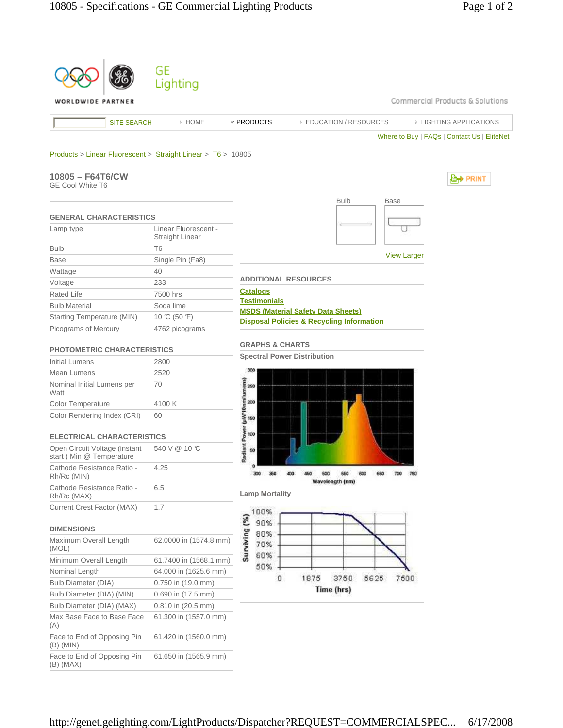|                                                                                                             | GE<br>Lighting                          |                                        |                                                      |      |                                             |
|-------------------------------------------------------------------------------------------------------------|-----------------------------------------|----------------------------------------|------------------------------------------------------|------|---------------------------------------------|
| WORLDWIDE PARTNER                                                                                           |                                         |                                        |                                                      |      | Commercial Products & Solutions             |
| <b>SITE SEARCH</b>                                                                                          | » HOME                                  | * PRODUCTS                             | <b>EDUCATION / RESOURCES</b>                         |      | <b>EIGHTING APPLICATIONS</b>                |
|                                                                                                             |                                         |                                        |                                                      |      | Where to Buy   FAQs   Contact Us   EliteNet |
| Products > Linear Fluorescent > Straight Linear > T6 > 10805<br>10805 - F64T6/CW<br><b>GE Cool White T6</b> |                                         |                                        | <b>Bulb</b>                                          |      | <b>Base</b>                                 |
| <b>GENERAL CHARACTERISTICS</b>                                                                              |                                         |                                        |                                                      |      |                                             |
| Lamp type                                                                                                   | Linear Fluorescent -<br>Straight Linear |                                        |                                                      |      |                                             |
| <b>Bulb</b>                                                                                                 | T <sub>6</sub>                          |                                        |                                                      |      |                                             |
| <b>Base</b>                                                                                                 | Single Pin (Fa8)                        |                                        |                                                      |      | <b>View Larger</b>                          |
| Wattage                                                                                                     | 40                                      |                                        |                                                      |      |                                             |
| Voltage                                                                                                     | 233                                     | <b>ADDITIONAL RESOURCES</b>            |                                                      |      |                                             |
| <b>Rated Life</b>                                                                                           | 7500 hrs                                | <b>Catalogs</b><br><b>Testimonials</b> |                                                      |      |                                             |
| <b>Bulb Material</b>                                                                                        | Soda lime                               |                                        | <b>MSDS (Material Safety Data Sheets)</b>            |      |                                             |
| Starting Temperature (MIN)                                                                                  | 10 °C (50 °F)                           |                                        | <b>Disposal Policies &amp; Recycling Information</b> |      |                                             |
| Picograms of Mercury                                                                                        | 4762 picograms                          |                                        |                                                      |      |                                             |
| <b>PHOTOMETRIC CHARACTERISTICS</b>                                                                          |                                         | <b>GRAPHS &amp; CHARTS</b>             |                                                      |      |                                             |
| <b>Initial Lumens</b>                                                                                       | 2800                                    | <b>Spectral Power Distribution</b>     |                                                      |      |                                             |
| Mean Lumens                                                                                                 | 2520                                    | 300                                    |                                                      |      |                                             |
| Nominal Initial Lumens per<br>Watt                                                                          | 70                                      | (uWi10nm/lumens)<br>250                |                                                      |      |                                             |
| Color Temperature                                                                                           | 4100 K                                  | 200                                    |                                                      |      |                                             |
| Color Rendering Index (CRI)                                                                                 | 60                                      | 150                                    |                                                      |      |                                             |
| <b>ELECTRICAL CHARACTERISTICS</b>                                                                           |                                         | diant Power<br>100                     |                                                      |      |                                             |
| Open Circuit Voltage (instant<br>start) Min @ Temperature                                                   | 540 V @ 10 °C                           | 50<br>œ                                |                                                      |      |                                             |
| Cathode Resistance Ratio -<br>Rh/Rc (MIN)                                                                   | 4.25                                    |                                        | Wavelength (nm)                                      |      |                                             |
| Cathode Resistance Ratio -<br>Rh/Rc (MAX)                                                                   | 6.5                                     | <b>Lamp Mortality</b>                  |                                                      |      |                                             |
| Current Crest Factor (MAX)                                                                                  | 1.7                                     | 100%                                   |                                                      |      |                                             |
| <b>DIMENSIONS</b>                                                                                           |                                         | Surviving (%)<br>90%                   |                                                      |      |                                             |
| Maximum Overall Length<br>(MOL)                                                                             | 62.0000 in (1574.8 mm)                  | 80%<br>70%                             |                                                      |      |                                             |
| Minimum Overall Length                                                                                      | 61.7400 in (1568.1 mm)                  | 60%                                    |                                                      |      |                                             |
| Nominal Length                                                                                              | 64.000 in (1625.6 mm)                   | 50%                                    |                                                      |      |                                             |
| <b>Bulb Diameter (DIA)</b>                                                                                  | $0.750$ in $(19.0$ mm)                  | 0                                      | 1875<br>3750                                         | 5625 | 7500                                        |
| Bulb Diameter (DIA) (MIN)                                                                                   | $0.690$ in $(17.5$ mm)                  |                                        | Time (hrs)                                           |      |                                             |
| Bulb Diameter (DIA) (MAX)                                                                                   | 0.810 in (20.5 mm)                      |                                        |                                                      |      |                                             |
| Max Base Face to Base Face<br>(A)                                                                           | 61.300 in (1557.0 mm)                   |                                        |                                                      |      |                                             |
| Face to End of Opposing Pin<br>$(B)$ (MIN)                                                                  | 61.420 in (1560.0 mm)                   |                                        |                                                      |      |                                             |
|                                                                                                             |                                         |                                        |                                                      |      |                                             |